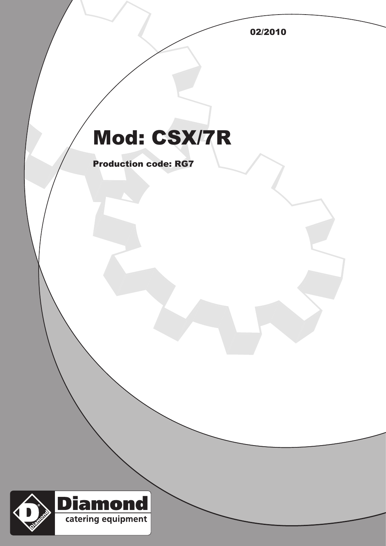02/2010

## Mod: CSX/7R

Production code: RG7